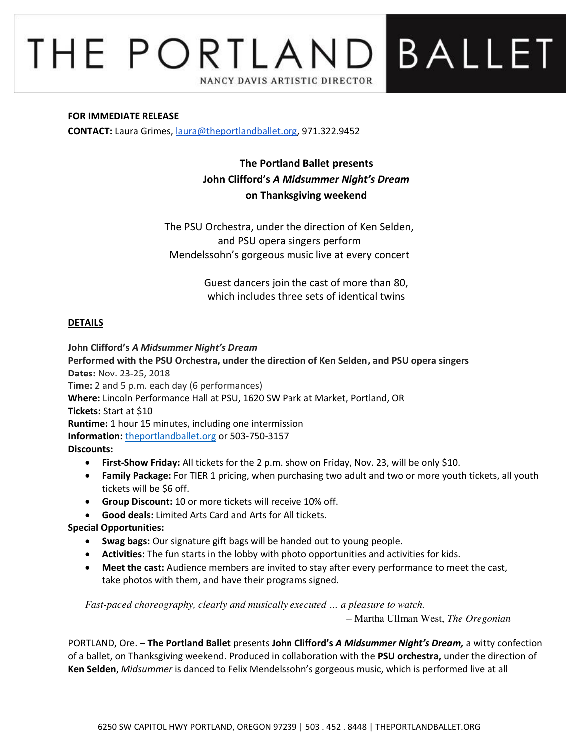# THE PORTLAND BALLET NANCY DAVIS ARTISTIC DIRECTOR

#### **FOR IMMEDIATE RELEASE**

**CONTACT:** Laura Grimes, [laura@theportlandballet.org,](mailto:laura@theportlandballet.org) 971.322.9452

**The Portland Ballet presents John Clifford's** *A Midsummer Night's Dream* **on Thanksgiving weekend** 

The PSU Orchestra, under the direction of Ken Selden, and PSU opera singers perform Mendelssohn's gorgeous music live at every concert

> Guest dancers join the cast of more than 80, which includes three sets of identical twins

## **DETAILS**

#### **John Clifford's** *A Midsummer Night's Dream*

**Performed with the PSU Orchestra, under the direction of Ken Selden, and PSU opera singers Dates:** Nov. 23-25, 2018 **Time:** 2 and 5 p.m. each day (6 performances) **Where:** Lincoln Performance Hall at PSU, 1620 SW Park at Market, Portland, OR **Tickets:** Start at \$10

**Runtime:** 1 hour 15 minutes, including one intermission **Information:** [theportlandballet.org](https://theportlandballet.org/) or 503-750-3157

**Discounts:** 

- **First-Show Friday:** All tickets for the 2 p.m. show on Friday, Nov. 23, will be only \$10.
- **Family Package:** For TIER 1 pricing, when purchasing two adult and two or more youth tickets, all youth tickets will be \$6 off.
- **Group Discount:** 10 or more tickets will receive 10% off.
- **Good deals:** Limited Arts Card and Arts for All tickets.

## **Special Opportunities:**

- **Swag bags:** Our signature gift bags will be handed out to young people.
- **Activities:** The fun starts in the lobby with photo opportunities and activities for kids.
- **Meet the cast:** Audience members are invited to stay after every performance to meet the cast, take photos with them, and have their programs signed.

*Fast-paced choreography, clearly and musically executed … a pleasure to watch.* 

– Martha Ullman West, *The Oregonian*

PORTLAND, Ore. – **The Portland Ballet** presents **John Clifford's** *A Midsummer Night's Dream,* a witty confection of a ballet, on Thanksgiving weekend. Produced in collaboration with the **PSU orchestra,** under the direction of **Ken Selden**, *Midsummer* is danced to Felix Mendelssohn's gorgeous music, which is performed live at all